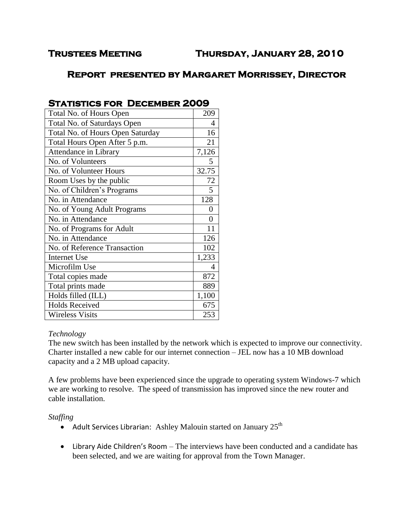# **Report presented by Margaret Morrissey, Director**

| Total No. of Hours Open          | 209   |
|----------------------------------|-------|
| Total No. of Saturdays Open      | 4     |
| Total No. of Hours Open Saturday | 16    |
| Total Hours Open After 5 p.m.    | 21    |
| Attendance in Library            | 7,126 |
| No. of Volunteers                | 5     |
| No. of Volunteer Hours           | 32.75 |
| Room Uses by the public          | 72    |
| No. of Children's Programs       | 5     |
| No. in Attendance                | 128   |
| No. of Young Adult Programs      | 0     |
| No. in Attendance                | 0     |
| No. of Programs for Adult        | 11    |
| No. in Attendance                | 126   |
| No. of Reference Transaction     | 102   |
| <b>Internet Use</b>              | 1,233 |
| Microfilm Use                    | 4     |
| Total copies made                | 872   |
| Total prints made                | 889   |
| Holds filled (ILL)               | 1,100 |
| <b>Holds Received</b>            | 675   |
| <b>Wireless Visits</b>           | 253   |

## **Statistics for December 2009**

## *Technology*

The new switch has been installed by the network which is expected to improve our connectivity. Charter installed a new cable for our internet connection – JEL now has a 10 MB download capacity and a 2 MB upload capacity.

A few problems have been experienced since the upgrade to operating system Windows-7 which we are working to resolve. The speed of transmission has improved since the new router and cable installation.

## *Staffing*

- Adult Services Librarian: Ashley Malouin started on January  $25<sup>th</sup>$
- Library Aide Children's Room The interviews have been conducted and a candidate has been selected, and we are waiting for approval from the Town Manager.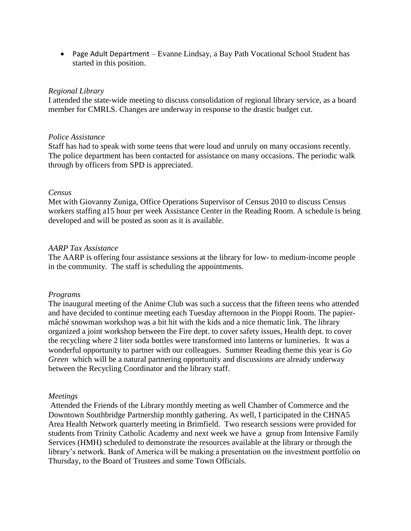• Page Adult Department – Evanne Lindsay, a Bay Path Vocational School Student has started in this position.

#### *Regional Library*

I attended the state-wide meeting to discuss consolidation of regional library service, as a board member for CMRLS. Changes are underway in response to the drastic budget cut.

#### *Police Assistance*

Staff has had to speak with some teens that were loud and unruly on many occasions recently. The police department has been contacted for assistance on many occasions. The periodic walk through by officers from SPD is appreciated.

#### *Census*

Met with Giovanny Zuniga, Office Operations Supervisor of Census 2010 to discuss Census workers staffing a15 hour per week Assistance Center in the Reading Room. A schedule is being developed and will be posted as soon as it is available.

#### *AARP Tax Assistance*

The AARP is offering four assistance sessions at the library for low- to medium-income people in the community. The staff is scheduling the appointments.

#### *Programs*

The inaugural meeting of the Anime Club was such a success that the fifteen teens who attended and have decided to continue meeting each Tuesday afternoon in the Pioppi Room. The papiermâché snowman workshop was a bit hit with the kids and a nice thematic link. The library organized a joint workshop between the Fire dept. to cover safety issues, Health dept. to cover the recycling where 2 liter soda bottles were transformed into lanterns or lumineries. It was a wonderful opportunity to partner with our colleagues. Summer Reading theme this year is *Go Green* which will be a natural partnering opportunity and discussions are already underway between the Recycling Coordinator and the library staff.

#### *Meetings*

Attended the Friends of the Library monthly meeting as well Chamber of Commerce and the Downtown Southbridge Partnership monthly gathering. As well, I participated in the CHNA5 Area Health Network quarterly meeting in Brimfield. Two research sessions were provided for students from Trinity Catholic Academy and next week we have a group from Intensive Family Services (HMH) scheduled to demonstrate the resources available at the library or through the library's network. Bank of America will be making a presentation on the investment portfolio on Thursday, to the Board of Trustees and some Town Officials.